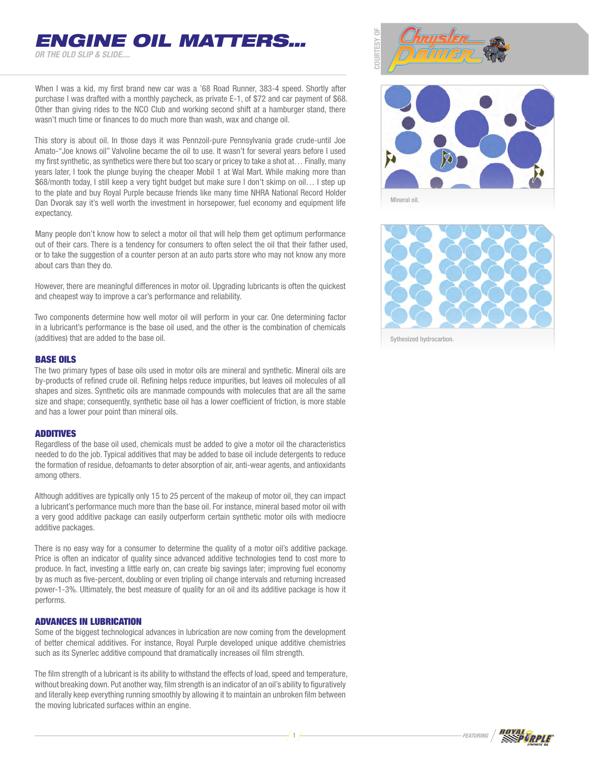*or the Old Slip & Slide....*

When I was a kid, my first brand new car was a '68 Road Runner, 383-4 speed. Shortly after purchase I was drafted with a monthly paycheck, as private E-1, of \$72 and car payment of \$68. Other than giving rides to the NCO Club and working second shift at a hamburger stand, there wasn't much time or finances to do much more than wash, wax and change oil.

*ENGINE OIL MATTERS…*

This story is about oil. In those days it was Pennzoil-pure Pennsylvania grade crude-until Joe Amato-"Joe knows oil" Valvoline became the oil to use. It wasn't for several years before I used my first synthetic, as synthetics were there but too scary or pricey to take a shot at… Finally, many years later, I took the plunge buying the cheaper Mobil 1 at Wal Mart. While making more than \$68/month today, I still keep a very tight budget but make sure I don't skimp on oil… I step up to the plate and buy Royal Purple because friends like many time NHRA National Record Holder Dan Dvorak say it's well worth the investment in horsepower, fuel economy and equipment life expectancy.

Many people don't know how to select a motor oil that will help them get optimum performance out of their cars. There is a tendency for consumers to often select the oil that their father used, or to take the suggestion of a counter person at an auto parts store who may not know any more about cars than they do.

However, there are meaningful differences in motor oil. Upgrading lubricants is often the quickest and cheapest way to improve a car's performance and reliability.

Two components determine how well motor oil will perform in your car. One determining factor in a lubricant's performance is the base oil used, and the other is the combination of chemicals (additives) that are added to the base oil.

## Base oils

The two primary types of base oils used in motor oils are mineral and synthetic. Mineral oils are by-products of refined crude oil. Refining helps reduce impurities, but leaves oil molecules of all shapes and sizes. Synthetic oils are manmade compounds with molecules that are all the same size and shape; consequently, synthetic base oil has a lower coefficient of friction, is more stable and has a lower pour point than mineral oils.

## Additives

Regardless of the base oil used, chemicals must be added to give a motor oil the characteristics needed to do the job. Typical additives that may be added to base oil include detergents to reduce the formation of residue, defoamants to deter absorption of air, anti-wear agents, and antioxidants among others.

Although additives are typically only 15 to 25 percent of the makeup of motor oil, they can impact a lubricant's performance much more than the base oil. For instance, mineral based motor oil with a very good additive package can easily outperform certain synthetic motor oils with mediocre additive packages.

There is no easy way for a consumer to determine the quality of a motor oil's additive package. Price is often an indicator of quality since advanced additive technologies tend to cost more to produce. In fact, investing a little early on, can create big savings later; improving fuel economy by as much as five-percent, doubling or even tripling oil change intervals and returning increased power-1-3%. Ultimately, the best measure of quality for an oil and its additive package is how it performs.

## Advances in lubrication

Some of the biggest technological advances in lubrication are now coming from the development of better chemical additives. For instance, Royal Purple developed unique additive chemistries such as its Synerlec additive compound that dramatically increases oil film strength.

The film strength of a lubricant is its ability to withstand the effects of load, speed and temperature, without breaking down. Put another way, film strength is an indicator of an oil's ability to figuratively and literally keep everything running smoothly by allowing it to maintain an unbroken film between the moving lubricated surfaces within an engine.





Mineral oil.



Sythesized hydrocarbon.